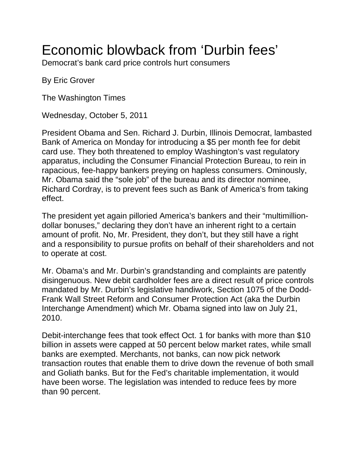## Economic blowback from 'Durbin fees'

Democrat's bank card price controls hurt consumers

By Eric Grover

The Washington Times

Wednesday, October 5, 2011

President Obama and Sen. Richard J. Durbin, Illinois Democrat, lambasted Bank of America on Monday for introducing a \$5 per month fee for debit card use. They both threatened to employ Washington's vast regulatory apparatus, including the Consumer Financial Protection Bureau, to rein in rapacious, fee-happy bankers preying on hapless consumers. Ominously, Mr. Obama said the "sole job" of the bureau and its director nominee, Richard Cordray, is to prevent fees such as Bank of America's from taking effect.

The president yet again pilloried America's bankers and their "multimilliondollar bonuses," declaring they don't have an inherent right to a certain amount of profit. No, Mr. President, they don't, but they still have a right and a responsibility to pursue profits on behalf of their shareholders and not to operate at cost.

Mr. Obama's and Mr. Durbin's grandstanding and complaints are patently disingenuous. New debit cardholder fees are a direct result of price controls mandated by Mr. Durbin's legislative handiwork, Section 1075 of the Dodd-Frank Wall Street Reform and Consumer Protection Act (aka the Durbin Interchange Amendment) which Mr. Obama signed into law on July 21, 2010.

Debit-interchange fees that took effect Oct. 1 for banks with more than \$10 billion in assets were capped at 50 percent below market rates, while small banks are exempted. Merchants, not banks, can now pick network transaction routes that enable them to drive down the revenue of both small and Goliath banks. But for the Fed's charitable implementation, it would have been worse. The legislation was intended to reduce fees by more than 90 percent.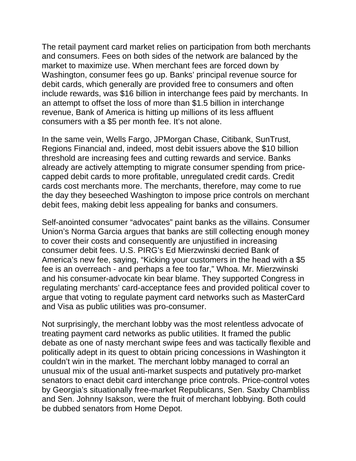The retail payment card market relies on participation from both merchants and consumers. Fees on both sides of the network are balanced by the market to maximize use. When merchant fees are forced down by Washington, consumer fees go up. Banks' principal revenue source for debit cards, which generally are provided free to consumers and often include rewards, was \$16 billion in interchange fees paid by merchants. In an attempt to offset the loss of more than \$1.5 billion in interchange revenue, Bank of America is hitting up millions of its less affluent consumers with a \$5 per month fee. It's not alone.

In the same vein, Wells Fargo, JPMorgan Chase, Citibank, SunTrust, Regions Financial and, indeed, most debit issuers above the \$10 billion threshold are increasing fees and cutting rewards and service. Banks already are actively attempting to migrate consumer spending from pricecapped debit cards to more profitable, unregulated credit cards. Credit cards cost merchants more. The merchants, therefore, may come to rue the day they beseeched Washington to impose price controls on merchant debit fees, making debit less appealing for banks and consumers.

Self-anointed consumer "advocates" paint banks as the villains. Consumer Union's Norma Garcia argues that banks are still collecting enough money to cover their costs and consequently are unjustified in increasing consumer debit fees. U.S. PIRG's Ed Mierzwinski decried Bank of America's new fee, saying, "Kicking your customers in the head with a \$5 fee is an overreach - and perhaps a fee too far," Whoa. Mr. Mierzwinski and his consumer-advocate kin bear blame. They supported Congress in regulating merchants' card-acceptance fees and provided political cover to argue that voting to regulate payment card networks such as MasterCard and Visa as public utilities was pro-consumer.

Not surprisingly, the merchant lobby was the most relentless advocate of treating payment card networks as public utilities. It framed the public debate as one of nasty merchant swipe fees and was tactically flexible and politically adept in its quest to obtain pricing concessions in Washington it couldn't win in the market. The merchant lobby managed to corral an unusual mix of the usual anti-market suspects and putatively pro-market senators to enact debit card interchange price controls. Price-control votes by Georgia's situationally free-market Republicans, Sen. Saxby Chambliss and Sen. Johnny Isakson, were the fruit of merchant lobbying. Both could be dubbed senators from Home Depot.